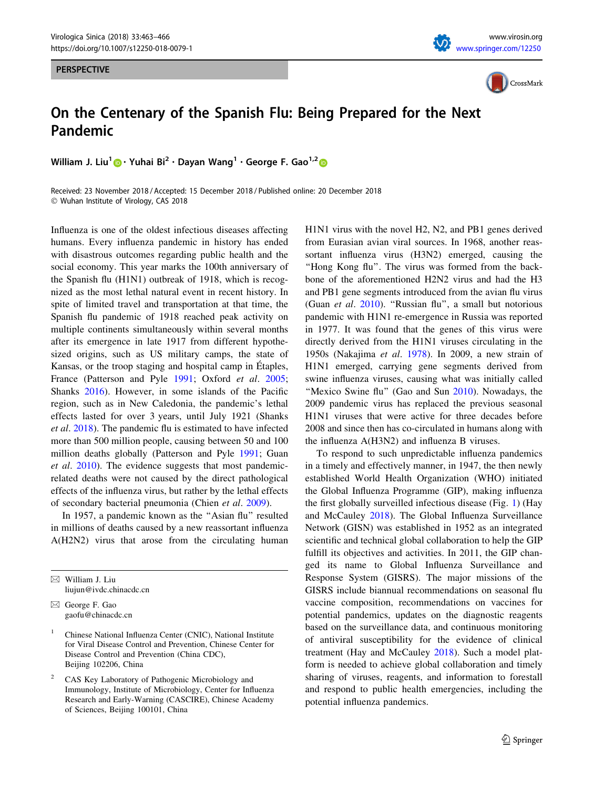## PERSPECTIVE





## On the Centenary of the Spanish Flu: Being Prepared for the Next Pandemic

William J. Liu<sup>1</sup> • Yuhai Bi<sup>2</sup> · Dayan Wang<sup>1</sup> · George F. Gao<sup>1,2</sup>

Received: 23 November 2018 / Accepted: 15 December 2018 / Published online: 20 December 2018 - Wuhan Institute of Virology, CAS 2018

Influenza is one of the oldest infectious diseases affecting humans. Every influenza pandemic in history has ended with disastrous outcomes regarding public health and the social economy. This year marks the 100th anniversary of the Spanish flu (H1N1) outbreak of 1918, which is recognized as the most lethal natural event in recent history. In spite of limited travel and transportation at that time, the Spanish flu pandemic of 1918 reached peak activity on multiple continents simultaneously within several months after its emergence in late 1917 from different hypothesized origins, such as US military camps, the state of Kansas, or the troop staging and hospital camp in Étaples, France (Patterson and Pyle [1991](#page-3-0); Oxford et al. [2005](#page-3-0); Shanks [2016\)](#page-3-0). However, in some islands of the Pacific region, such as in New Caledonia, the pandemic's lethal effects lasted for over 3 years, until July 1921 (Shanks et al. [2018\)](#page-3-0). The pandemic flu is estimated to have infected more than 500 million people, causing between 50 and 100 million deaths globally (Patterson and Pyle [1991;](#page-3-0) Guan et al. [2010\)](#page-2-0). The evidence suggests that most pandemicrelated deaths were not caused by the direct pathological effects of the influenza virus, but rather by the lethal effects of secondary bacterial pneumonia (Chien et al. [2009](#page-2-0)).

In 1957, a pandemic known as the "Asian flu" resulted in millions of deaths caused by a new reassortant influenza A(H2N2) virus that arose from the circulating human

 $\boxtimes$  William J. Liu liujun@ivdc.chinacdc.cn

 $\boxtimes$  George F. Gao gaofu@chinacdc.cn H1N1 virus with the novel H2, N2, and PB1 genes derived from Eurasian avian viral sources. In 1968, another reassortant influenza virus (H3N2) emerged, causing the "Hong Kong flu". The virus was formed from the backbone of the aforementioned H2N2 virus and had the H3 and PB1 gene segments introduced from the avian flu virus (Guan et al. [2010](#page-2-0)). ''Russian flu'', a small but notorious pandemic with H1N1 re-emergence in Russia was reported in 1977. It was found that the genes of this virus were directly derived from the H1N1 viruses circulating in the 1950s (Nakajima et al. [1978](#page-3-0)). In 2009, a new strain of H1N1 emerged, carrying gene segments derived from swine influenza viruses, causing what was initially called "Mexico Swine flu" (Gao and Sun [2010](#page-2-0)). Nowadays, the 2009 pandemic virus has replaced the previous seasonal H1N1 viruses that were active for three decades before 2008 and since then has co-circulated in humans along with the influenza A(H3N2) and influenza B viruses.

To respond to such unpredictable influenza pandemics in a timely and effectively manner, in 1947, the then newly established World Health Organization (WHO) initiated the Global Influenza Programme (GIP), making influenza the first globally surveilled infectious disease (Fig. [1](#page-1-0)) (Hay and McCauley [2018\)](#page-2-0). The Global Influenza Surveillance Network (GISN) was established in 1952 as an integrated scientific and technical global collaboration to help the GIP fulfill its objectives and activities. In 2011, the GIP changed its name to Global Influenza Surveillance and Response System (GISRS). The major missions of the GISRS include biannual recommendations on seasonal flu vaccine composition, recommendations on vaccines for potential pandemics, updates on the diagnostic reagents based on the surveillance data, and continuous monitoring of antiviral susceptibility for the evidence of clinical treatment (Hay and McCauley [2018](#page-2-0)). Such a model platform is needed to achieve global collaboration and timely sharing of viruses, reagents, and information to forestall and respond to public health emergencies, including the potential influenza pandemics.

<sup>&</sup>lt;sup>1</sup> Chinese National Influenza Center (CNIC), National Institute for Viral Disease Control and Prevention, Chinese Center for Disease Control and Prevention (China CDC), Beijing 102206, China

<sup>2</sup> CAS Key Laboratory of Pathogenic Microbiology and Immunology, Institute of Microbiology, Center for Influenza Research and Early-Warning (CASCIRE), Chinese Academy of Sciences, Beijing 100101, China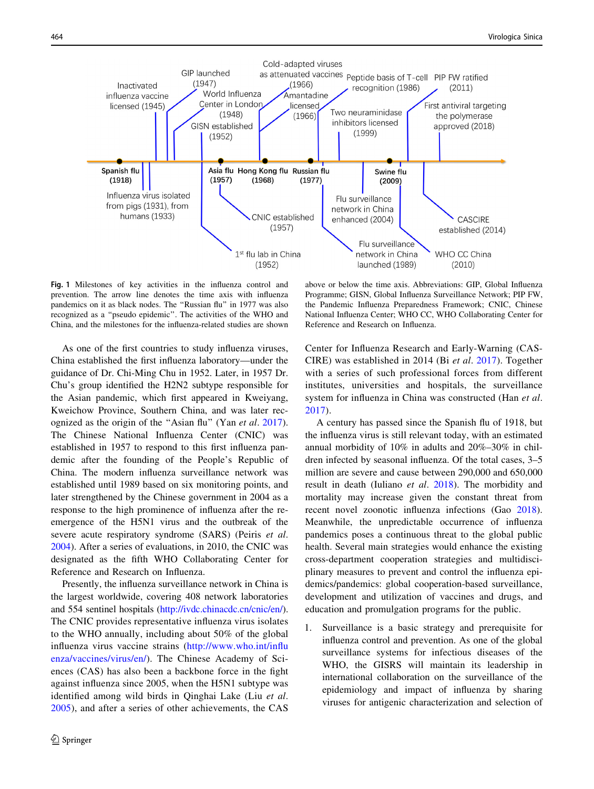<span id="page-1-0"></span>

Fig. 1 Milestones of key activities in the influenza control and prevention. The arrow line denotes the time axis with influenza pandemics on it as black nodes. The ''Russian flu'' in 1977 was also recognized as a ''pseudo epidemic''. The activities of the WHO and China, and the milestones for the influenza-related studies are shown

As one of the first countries to study influenza viruses, China established the first influenza laboratory—under the guidance of Dr. Chi-Ming Chu in 1952. Later, in 1957 Dr. Chu's group identified the H2N2 subtype responsible for the Asian pandemic, which first appeared in Kweiyang, Kweichow Province, Southern China, and was later recognized as the origin of the "Asian flu" (Yan *et al.* [2017](#page-3-0)). The Chinese National Influenza Center (CNIC) was established in 1957 to respond to this first influenza pandemic after the founding of the People's Republic of China. The modern influenza surveillance network was established until 1989 based on six monitoring points, and later strengthened by the Chinese government in 2004 as a response to the high prominence of influenza after the reemergence of the H5N1 virus and the outbreak of the severe acute respiratory syndrome (SARS) (Peiris et al. [2004\)](#page-3-0). After a series of evaluations, in 2010, the CNIC was designated as the fifth WHO Collaborating Center for Reference and Research on Influenza.

Presently, the influenza surveillance network in China is the largest worldwide, covering 408 network laboratories and 554 sentinel hospitals (<http://ivdc.chinacdc.cn/cnic/en/>). The CNIC provides representative influenza virus isolates to the WHO annually, including about 50% of the global influenza virus vaccine strains ([http://www.who.int/influ](http://www.who.int/influenza/vaccines/virus/en/) [enza/vaccines/virus/en/\)](http://www.who.int/influenza/vaccines/virus/en/). The Chinese Academy of Sciences (CAS) has also been a backbone force in the fight against influenza since 2005, when the H5N1 subtype was identified among wild birds in Qinghai Lake (Liu et al. [2005](#page-2-0)), and after a series of other achievements, the CAS

above or below the time axis. Abbreviations: GIP, Global Influenza Programme; GISN, Global Influenza Surveillance Network; PIP FW, the Pandemic Influenza Preparedness Framework; CNIC, Chinese National Influenza Center; WHO CC, WHO Collaborating Center for Reference and Research on Influenza.

Center for Influenza Research and Early-Warning (CAS-CIRE) was established in 2014 (Bi et al. [2017](#page-2-0)). Together with a series of such professional forces from different institutes, universities and hospitals, the surveillance system for influenza in China was constructed (Han et al. [2017](#page-2-0)).

A century has passed since the Spanish flu of 1918, but the influenza virus is still relevant today, with an estimated annual morbidity of 10% in adults and 20%–30% in children infected by seasonal influenza. Of the total cases, 3–5 million are severe and cause between 290,000 and 650,000 result in death (Iuliano et al. [2018\)](#page-2-0). The morbidity and mortality may increase given the constant threat from recent novel zoonotic influenza infections (Gao [2018](#page-2-0)). Meanwhile, the unpredictable occurrence of influenza pandemics poses a continuous threat to the global public health. Several main strategies would enhance the existing cross-department cooperation strategies and multidisciplinary measures to prevent and control the influenza epidemics/pandemics: global cooperation-based surveillance, development and utilization of vaccines and drugs, and education and promulgation programs for the public.

1. Surveillance is a basic strategy and prerequisite for influenza control and prevention. As one of the global surveillance systems for infectious diseases of the WHO, the GISRS will maintain its leadership in international collaboration on the surveillance of the epidemiology and impact of influenza by sharing viruses for antigenic characterization and selection of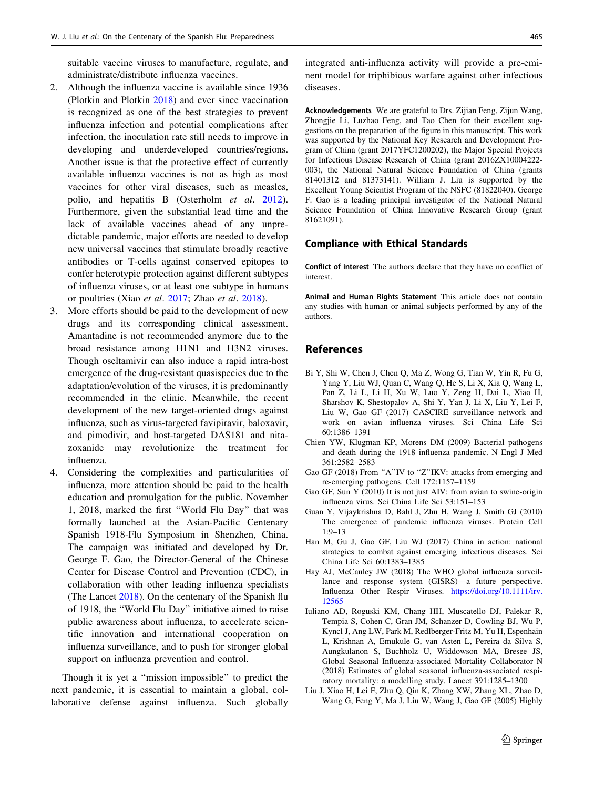<span id="page-2-0"></span>suitable vaccine viruses to manufacture, regulate, and administrate/distribute influenza vaccines.

- 2. Although the influenza vaccine is available since 1936 (Plotkin and Plotkin [2018\)](#page-3-0) and ever since vaccination is recognized as one of the best strategies to prevent influenza infection and potential complications after infection, the inoculation rate still needs to improve in developing and underdeveloped countries/regions. Another issue is that the protective effect of currently available influenza vaccines is not as high as most vaccines for other viral diseases, such as measles, polio, and hepatitis B (Osterholm et al. [2012](#page-3-0)). Furthermore, given the substantial lead time and the lack of available vaccines ahead of any unpredictable pandemic, major efforts are needed to develop new universal vaccines that stimulate broadly reactive antibodies or T-cells against conserved epitopes to confer heterotypic protection against different subtypes of influenza viruses, or at least one subtype in humans or poultries (Xiao et al. [2017](#page-3-0); Zhao et al. [2018\)](#page-3-0).
- 3. More efforts should be paid to the development of new drugs and its corresponding clinical assessment. Amantadine is not recommended anymore due to the broad resistance among H1N1 and H3N2 viruses. Though oseltamivir can also induce a rapid intra-host emergence of the drug-resistant quasispecies due to the adaptation/evolution of the viruses, it is predominantly recommended in the clinic. Meanwhile, the recent development of the new target-oriented drugs against influenza, such as virus-targeted favipiravir, baloxavir, and pimodivir, and host-targeted DAS181 and nitazoxanide may revolutionize the treatment for influenza.
- 4. Considering the complexities and particularities of influenza, more attention should be paid to the health education and promulgation for the public. November 1, 2018, marked the first ''World Flu Day'' that was formally launched at the Asian-Pacific Centenary Spanish 1918-Flu Symposium in Shenzhen, China. The campaign was initiated and developed by Dr. George F. Gao, the Director-General of the Chinese Center for Disease Control and Prevention (CDC), in collaboration with other leading influenza specialists (The Lancet [2018](#page-3-0)). On the centenary of the Spanish flu of 1918, the ''World Flu Day'' initiative aimed to raise public awareness about influenza, to accelerate scientific innovation and international cooperation on influenza surveillance, and to push for stronger global support on influenza prevention and control.

Though it is yet a ''mission impossible'' to predict the next pandemic, it is essential to maintain a global, collaborative defense against influenza. Such globally

integrated anti-influenza activity will provide a pre-eminent model for triphibious warfare against other infectious diseases.

Acknowledgements We are grateful to Drs. Zijian Feng, Zijun Wang, Zhongjie Li, Luzhao Feng, and Tao Chen for their excellent suggestions on the preparation of the figure in this manuscript. This work was supported by the National Key Research and Development Program of China (grant 2017YFC1200202), the Major Special Projects for Infectious Disease Research of China (grant 2016ZX10004222- 003), the National Natural Science Foundation of China (grants 81401312 and 81373141). William J. Liu is supported by the Excellent Young Scientist Program of the NSFC (81822040). George F. Gao is a leading principal investigator of the National Natural Science Foundation of China Innovative Research Group (grant 81621091).

## Compliance with Ethical Standards

Conflict of interest The authors declare that they have no conflict of interest.

Animal and Human Rights Statement This article does not contain any studies with human or animal subjects performed by any of the authors.

## References

- Bi Y, Shi W, Chen J, Chen Q, Ma Z, Wong G, Tian W, Yin R, Fu G, Yang Y, Liu WJ, Quan C, Wang Q, He S, Li X, Xia Q, Wang L, Pan Z, Li L, Li H, Xu W, Luo Y, Zeng H, Dai L, Xiao H, Sharshov K, Shestopalov A, Shi Y, Yan J, Li X, Liu Y, Lei F, Liu W, Gao GF (2017) CASCIRE surveillance network and work on avian influenza viruses. Sci China Life Sci 60:1386–1391
- Chien YW, Klugman KP, Morens DM (2009) Bacterial pathogens and death during the 1918 influenza pandemic. N Engl J Med 361:2582–2583
- Gao GF (2018) From "A"IV to "Z"IKV: attacks from emerging and re-emerging pathogens. Cell 172:1157–1159
- Gao GF, Sun Y (2010) It is not just AIV: from avian to swine-origin influenza virus. Sci China Life Sci 53:151–153
- Guan Y, Vijaykrishna D, Bahl J, Zhu H, Wang J, Smith GJ (2010) The emergence of pandemic influenza viruses. Protein Cell 1:9–13
- Han M, Gu J, Gao GF, Liu WJ (2017) China in action: national strategies to combat against emerging infectious diseases. Sci China Life Sci 60:1383–1385
- Hay AJ, McCauley JW (2018) The WHO global influenza surveillance and response system (GISRS)—a future perspective. Influenza Other Respir Viruses. [https://doi.org/10.1111/irv.](https://doi.org/10.1111/irv.12565) [12565](https://doi.org/10.1111/irv.12565)
- Iuliano AD, Roguski KM, Chang HH, Muscatello DJ, Palekar R, Tempia S, Cohen C, Gran JM, Schanzer D, Cowling BJ, Wu P, Kyncl J, Ang LW, Park M, Redlberger-Fritz M, Yu H, Espenhain L, Krishnan A, Emukule G, van Asten L, Pereira da Silva S, Aungkulanon S, Buchholz U, Widdowson MA, Bresee JS, Global Seasonal Influenza-associated Mortality Collaborator N (2018) Estimates of global seasonal influenza-associated respiratory mortality: a modelling study. Lancet 391:1285–1300
- Liu J, Xiao H, Lei F, Zhu Q, Qin K, Zhang XW, Zhang XL, Zhao D, Wang G, Feng Y, Ma J, Liu W, Wang J, Gao GF (2005) Highly